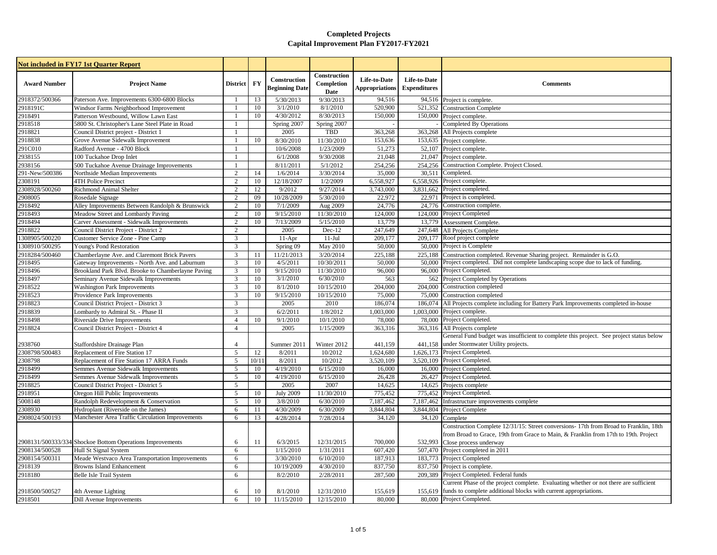|                     | <b>Not included in FY17 1st Quarter Report</b>            |                 |           |                                       |                                    |                                       |                                     |                                                                                          |
|---------------------|-----------------------------------------------------------|-----------------|-----------|---------------------------------------|------------------------------------|---------------------------------------|-------------------------------------|------------------------------------------------------------------------------------------|
| <b>Award Number</b> | <b>Project Name</b>                                       | <b>District</b> | <b>FY</b> | Construction<br><b>Beginning Date</b> | Construction<br>Completion<br>Date | Life-to-Date<br><b>Appropriations</b> | Life-to-Date<br><b>Expenditures</b> | <b>Comments</b>                                                                          |
| 2918372/500366      | Paterson Ave. Improvements 6300-6800 Blocks               | $\mathbf{1}$    | 13        | 5/30/2013                             | 9/30/2013                          | 94,516                                |                                     | 94,516 Project is complete.                                                              |
| 2918191C            | Windsor Farms Neighborhood Improvement                    | 1               | 10        | 3/1/2010                              | 8/1/2010                           | 520,900                               | 521,352                             | <b>Construction Complete</b>                                                             |
| 2918491             | Patterson Westbound, Willow Lawn East                     | $\mathbf{1}$    | 10        | 4/30/2012                             | 8/30/2013                          | 150,000                               | 150,000                             | Project complete.                                                                        |
| 2918518             | 5800 St. Christopher's Lane Steel Plate in Road           | $\mathbf{1}$    |           | Spring 2007                           | Spring 2007                        |                                       |                                     | <b>Completed By Operations</b>                                                           |
| 2918821             | Council District project - District 1                     | 1               |           | 2005                                  | <b>TBD</b>                         | 363,268                               | 363,268                             | All Projects complete                                                                    |
| 2918838             | Grove Avenue Sidewalk Improvement                         |                 | 10        | 8/30/2010                             | 11/30/2010                         | 153,636                               |                                     | 153,635 Project complete.                                                                |
| 291C010             | Radford Avenue - 4700 Block                               | $\mathbf{1}$    |           | 10/6/2008                             | 1/23/2009                          | 51,273                                |                                     | 52,107 Project complete.                                                                 |
| 2938155             | 100 Tuckahoe Drop Inlet                                   | $\mathbf{1}$    |           | 6/1/2008                              | 9/30/2008                          | 21,048                                |                                     | 21,047 Project complete.                                                                 |
| 2938156             | 500 Tuckahoe Avenue Drainage Improvements                 | 1               |           | 8/11/2011                             | 5/1/2012                           | 254,256                               | 254,256                             | Construction Complete. Project Closed.                                                   |
| 291-New/500386      | Northside Median Improvements                             | $\mathbf{2}$    | 14        | 1/6/2014                              | 3/30/2014                          | 35,000                                | 30.511                              | Completed.                                                                               |
| 2308191             | 4TH Police Precinct                                       | $\overline{2}$  | 10        | 12/18/2007                            | 1/2/2009                           | 6,558,927                             |                                     | 6,558,926 Project complete.                                                              |
| 2308928/500260      | Richmond Animal Shelter                                   | $\overline{c}$  | 12        | 9/2012                                | 9/27/2014                          | 3,743,000                             |                                     | 3,831,662 Project completed                                                              |
| 2908005             | Rosedale Signage                                          | $\overline{c}$  | 09        | 10/28/2009                            | 5/30/2010                          | 22,972                                |                                     | 22,971 Project is completed.                                                             |
| 2918492             | Alley Improvements Between Randolph & Brunswick           | $\overline{c}$  | 10        | 7/1/2009                              | Aug 2009                           | 24,776                                | 24,776                              | Construction complete.                                                                   |
| 2918493             | Meadow Street and Lombardy Paving                         | $\overline{2}$  | 10        | 9/15/2010                             | 11/30/2010                         | 124,000                               |                                     | 124,000 Project Completed                                                                |
| 2918494             | Carver Assessment - Sidewalk Improvements                 | $\mathbf{2}$    | 10        | 7/13/2009                             | $\overline{5/15/2010}$             | 13,779                                | 13,779                              | Assessment Complete.                                                                     |
| 2918822             | Council District Project - District 2                     | $\overline{2}$  |           | 2005                                  | $Dec-12$                           | 247,649                               | 247,648                             | All Projects Complete                                                                    |
| 1308905/500220      | Customer Service Zone - Pine Camp                         | 3               |           | $11-Apr$                              | $11-Jul$                           | 209,177                               |                                     | 209,177 Roof project complete                                                            |
| 1308910/500295      | Young's Pond Restoration                                  | 3               |           | Spring 09                             | May 2010                           | 50,000                                |                                     | 50,000 Project is Complete                                                               |
| 2918284/500460      | Chamberlayne Ave. and Claremont Brick Pavers              | 3               | 11        | 11/21/2013                            | 3/20/2014                          | 225,188                               | 225,188                             | Construction completed. Revenue Sharing project. Remainder is G.O.                       |
| 2918495             | Gateway Improvements - North Ave. and Laburnum            | 3               | 10        | 4/5/2011                              | 10/30/2011                         | 50,000                                |                                     | 50,000 Project completed. Did not complete landscaping scope due to lack of funding.     |
| 2918496             | Brookland Park Blvd. Brooke to Chamberlayne Paving        | 3               | 10        | 9/15/2010                             | 11/30/2010                         | 96,000                                |                                     | 96,000 Project Completed.                                                                |
| 2918497             | Seminary Avenue Sidewalk Improvements                     | 3               | 10        | 3/1/2010                              | 6/30/2010                          | 563                                   |                                     | 562 Project Completed by Operations                                                      |
| 2918522             | <b>Washington Park Improvements</b>                       | 3               | 10        | 8/1/2010                              | 10/15/2010                         | 204,000                               | 204,000                             | Construction completed                                                                   |
| 2918523             | Providence Park Improvements                              | 3               | 10        | 9/15/2010                             | 10/15/2010                         | 75,000                                | 75,000                              | Construction completed                                                                   |
| 2918823             | Council District Project - District 3                     | 3               |           | 2005                                  | 2010                               | 186,074                               |                                     | 186,074 All Projects complete including for Battery Park Improvements completed in-house |
| 2918839             | Lombardy to Admiral St. - Phase II                        | 3               |           | 6/2/2011                              | 1/8/2012                           | 1,003,000                             |                                     | 1,003,000 Project complete.                                                              |
| 2918498             | Riverside Drive Improvements                              | $\overline{4}$  | 10        | 9/1/2010                              | 10/1/2010                          | 78,000                                |                                     | 78,000 Project Completed.                                                                |
| 2918824             | Council District Project - District 4                     | $\overline{4}$  |           | 2005                                  | 1/15/2009                          | 363,316                               | 363,316                             | All Projects complete                                                                    |
|                     |                                                           |                 |           |                                       |                                    |                                       |                                     | General Fund budget was insufficient to complete this project. See project status below  |
| 2938760             | Staffordshire Drainage Plan                               | 4               |           | Summer 2011                           | Winter 2012                        | 441,159                               | 441,158                             | under Stormwater Utility projects.                                                       |
| 2308798/500483      | Replacement of Fire Station 17                            | 5               | 12        | 8/2011                                | 10/2012                            | 1,624,680                             |                                     | 1,626,173 Project Completed.                                                             |
| 2308798             | Replacement of Fire Station 17 ARRA Funds                 | 5               | 10/11     | 8/2011                                | 10/2012                            | 3.520.109                             |                                     | 3.520.109 Project Completed.                                                             |
| 2918499             | Semmes Avenue Sidewalk Improvements                       | 5               | 10        | 4/19/2010                             | 6/15/2010                          | 16,000                                |                                     | 16,000 Project Completed.                                                                |
| 2918499             | Semmes Avenue Sidewalk Improvements                       | 5               | 10        | 4/19/2010                             | 6/15/2010                          | 26,428                                |                                     | 26,427 Project Completed.                                                                |
| 2918825             | Council District Project - District 5                     | 5               |           | 2005                                  | 2007                               | 14,625                                |                                     | 14,625 Projects complete                                                                 |
| 2918951             | Oregon Hill Public Improvements                           | 5               | 10        | <b>July 2009</b>                      | 11/30/2010                         | 775,452                               |                                     | 775.452 Project Completed.                                                               |
| 5008148             | Randolph Redevelopment & Conservation                     | 5               | 10        | 3/8/2010                              | 6/30/2010                          | 7,187,462                             |                                     | 7,187,462 Infrastructure improvements complete                                           |
| 2308930             | Hydroplant (Riverside on the James)                       | 6               | 11        | 4/30/2009                             | 6/30/2009                          | 3,844,804                             | 3,844,804                           | Project Complete                                                                         |
| 2908024/500193      | Manchester Area Traffic Circulation Improvements          | 6               | 13        | 4/28/2014                             | 7/28/2014                          | 34,120                                | 34,120                              | Complete                                                                                 |
|                     |                                                           |                 |           |                                       |                                    |                                       |                                     | Construction Complete 12/31/15: Street conversions-17th from Broad to Franklin, 18th     |
|                     |                                                           |                 |           |                                       |                                    |                                       |                                     | from Broad to Grace, 19th from Grace to Main, & Franklin from 17th to 19th. Project      |
|                     | 2908131/500333/334 Shockoe Bottom Operations Improvements | 6               | 11        | 6/3/2015                              | 12/31/2015                         | 700,000                               | 532,993                             | Close process underway                                                                   |
| 2908134/500528      | Hull St Signal System                                     | 6               |           | 1/15/2010                             | 1/31/2011                          | 607,420                               |                                     | 507,470 Project completed in 2011                                                        |
| 2908154/500311      | Meade Westvaco Area Transportation Improvements           | 6               |           | 3/30/2010                             | 6/10/2010                          | 187,913                               |                                     | 183,773 Project Completed                                                                |
| 2918139             | <b>Browns Island Enhancement</b>                          | 6               |           | 10/19/2009                            | 4/30/2010                          | 837,750                               |                                     | 837,750 Project is complete.                                                             |
| 2918180             | Belle Isle Trail System                                   | 6               |           | 8/2/2010                              | 2/28/2011                          | 287,500                               |                                     | 209,389 Project Completed. Federal funds                                                 |
|                     |                                                           |                 |           |                                       |                                    |                                       |                                     | Current Phase of the project complete. Evaluating whether or not there are sufficient    |
| 2918500/500527      | 4th Avenue Lighting                                       | 6               | 10        | 8/1/2010                              | 12/31/2010                         | 155,619                               | 155,619                             | funds to complete additional blocks with current appropriations.                         |
| 2918501             | Dill Avenue Improvements                                  | 6               | 10        | 11/15/2010                            | 12/15/2010                         | 80,000                                |                                     | 80,000 Project Completed.                                                                |
|                     |                                                           |                 |           |                                       |                                    |                                       |                                     |                                                                                          |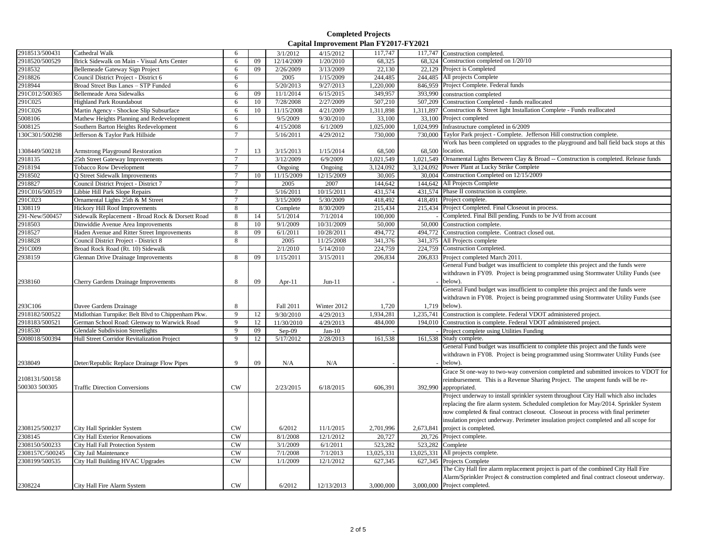| 2918513/500431  |                                                   | 6               |    |            |             |            |           |                                                                                         |
|-----------------|---------------------------------------------------|-----------------|----|------------|-------------|------------|-----------|-----------------------------------------------------------------------------------------|
|                 | Cathedral Walk                                    |                 |    | 3/1/2012   | 4/15/2012   | 117,747    | 117,747   | Construction completed.                                                                 |
| 2918520/500529  | Brick Sidewalk on Main - Visual Arts Center       | 6               | 09 | 12/14/2009 | 1/20/2010   | 68,325     | 68.324    | Construction completed on 1/20/10                                                       |
| 2918532         | Bellemeade Gateway Sign Project                   | 6               | 09 | 2/26/2009  | 3/13/2009   | 22,130     |           | 22,129 Project is Completed                                                             |
| 2918826         | Council District Project - District 6             | 6               |    | 2005       | 1/15/2009   | 244,485    |           | 244,485 All projects Complete                                                           |
| 2918944         | Broad Street Bus Lanes - STP Funded               | 6               |    | 5/20/2013  | 9/27/2013   | 1,220,000  |           | 846,959 Project Complete. Federal funds                                                 |
| 291C012/500365  | <b>Bellemeade Area Sidewalks</b>                  | 6               | 09 | 11/1/2014  | 6/15/2015   | 349,957    | 393,990   | construction completed                                                                  |
| 291C025         | <b>Highland Park Roundabout</b>                   | 6               | 10 | 7/28/2008  | 2/27/2009   | 507,210    | 507,209   | Construction Completed - funds reallocated                                              |
| 291C026         | Martin Agency - Shockoe Slip Subsurface           | 6               | 10 | 11/15/2008 | 4/21/2009   | 1,311,898  | 1.311.897 | Construction & Street light Installation Complete - Funds reallocated                   |
| 5008106         | Mathew Heights Planning and Redevelopment         | 6               |    | 9/5/2009   | 9/30/2010   | 33,100     |           | 33,100 Project completed                                                                |
| 5008125         | Southern Barton Heights Redevelopment             | 6               |    | 4/15/2008  | 6/1/2009    | 1,025,000  |           | 1,024,999 Infrastructure completed in 6/2009                                            |
| 130C301/500298  | Jefferson & Taylor Park Hillside                  | $\tau$          |    | 5/16/2011  | 4/29/2012   | 730,000    | 730,000   | Taylor Park project - Complete. Jefferson Hill construction complete.                   |
|                 |                                                   |                 |    |            |             |            |           | Work has been completed on upgrades to the playground and ball field back stops at this |
| 1308449/500218  | <b>Armstrong Playground Restoration</b>           | $\tau$          | 13 | 3/15/2013  | 1/15/2014   | 68,500     | 68,500    | location.                                                                               |
| 2918135         | 25th Street Gateway Improvements                  | $\overline{7}$  |    | 3/12/2009  | 6/9/2009    | 1,021,549  | 1,021,549 | Ornamental Lights Between Clay & Broad -- Construction is completed. Release funds      |
| 2918194         | <b>Tobacco Row Development</b>                    | $\tau$          |    | Ongoing    | Ongoing     | 3,124,092  |           | 3,124,092 Power Plant at Lucky Strike Complete                                          |
| 2918502         | Q Street Sidewalk Improvements                    | $7\phantom{.0}$ | 10 | 11/15/2009 | 12/15/2009  | 30,005     |           | 30,004 Construction Completed on 12/15/2009                                             |
| 2918827         | Council District Project - District 7             | $\overline{7}$  |    | 2005       | 2007        | 144,642    |           | 144,642 All Projects Complete                                                           |
| 291C016/500519  | Libbie Hill Park Slope Repairs                    | $\overline{7}$  |    | 5/16/2011  | 10/15/2011  | 431,574    |           | 431,574 Phase II construction is complete.                                              |
| 291C023         | Ornamental Lights 25th & M Street                 | $\tau$          |    | 3/15/2009  | 5/30/2009   | 418,492    |           | 418,491 Project complete.                                                               |
|                 |                                                   | 8               |    |            | 8/30/2009   | 215,434    |           | 215,434 Project Completed. Final Closeout in process.                                   |
| 1308119         | Hickory Hill Roof Improvements                    |                 |    | Complete   |             |            |           |                                                                                         |
| 291-New/500457  | Sidewalk Replacement - Broad Rock & Dorsett Road  | 8               | 14 | 5/1/2014   | 7/1/2014    | 100,000    |           | Completed. Final Bill pending. Funds to be Jv'd from account                            |
| 2918503         | Dinwiddie Avenue Area Improvements                | 8               | 10 | 9/1/2009   | 10/31/2009  | 50,000     | 50,000    | Construction complete.                                                                  |
| 2918527         | Haden Avenue and Ritter Street Improvements       | 8               | 09 | 6/1/2011   | 10/28/2011  | 494,772    | 494,772   | Construction complete. Contract closed out.                                             |
| 2918828         | Council District Project - District 8             | $\,8\,$         |    | 2005       | 11/25/2008  | 341,376    | 341,375   | All Projects complete                                                                   |
| 291C009         | Broad Rock Road (Rt. 10) Sidewalk                 |                 |    | 2/1/2010   | 5/14/2010   | 224,759    | 224,759   | Construction Completed.                                                                 |
| 2938159         | <b>Glennan Drive Drainage Improvements</b>        | 8               | 09 | 1/15/2011  | 3/15/2011   | 206,834    | 206,833   | Project completed March 2011.                                                           |
|                 |                                                   |                 |    |            |             |            |           | General Fund budget was insufficient to complete this project and the funds were        |
|                 |                                                   |                 |    |            |             |            |           | withdrawn in FY09. Project is being programmed using Stormwater Utility Funds (see      |
| 2938160         | Cherry Gardens Drainage Improvements              | 8               | 09 | Apr-11     | $Jun-11$    |            |           | below).                                                                                 |
|                 |                                                   |                 |    |            |             |            |           | General Fund budget was insufficient to complete this project and the funds were        |
|                 |                                                   |                 |    |            |             |            |           | withdrawn in FY08. Project is being programmed using Stormwater Utility Funds (see      |
| 293C106         | Davee Gardens Drainage                            | 8               |    | Fall 2011  | Winter 2012 | 1,720      | 1,719     | below).                                                                                 |
| 2918182/500522  | Midlothian Turnpike: Belt Blvd to Chippenham Pkw. | 9               | 12 | 9/30/2010  | 4/29/2013   | 1,934,281  | 1,235,741 | Construction is complete. Federal VDOT administered project.                            |
| 2918183/500521  | German School Road: Glenway to Warwick Road       | 9               | 12 | 11/30/2010 | 4/29/2013   | 484,000    | 194,010   | Construction is complete. Federal VDOT administered project.                            |
| 2918530         | <b>Glendale Subdivision Streetlights</b>          | 9               | 09 | $Sep-09$   | $Jan-10$    |            |           | Project complete using Utilities Funding                                                |
| 5008018/500394  | Hull Street Corridor Revitalization Project       | 9               | 12 | 5/17/2012  | 2/28/2013   | 161,538    | 161,538   | Study complete.                                                                         |
|                 |                                                   |                 |    |            |             |            |           | General Fund budget was insufficient to complete this project and the funds were        |
|                 |                                                   |                 |    |            |             |            |           | withdrawn in FY08. Project is being programmed using Stormwater Utility Funds (see      |
| 2938049         | Deter/Republic Replace Drainage Flow Pipes        | $\mathbf{Q}$    | 09 | N/A        | N/A         |            |           | below).                                                                                 |
|                 |                                                   |                 |    |            |             |            |           | Grace St one-way to two-way conversion completed and submitted invoices to VDOT for     |
| 2108131/500158  |                                                   |                 |    |            |             |            |           |                                                                                         |
| 500303 500305   |                                                   | CW              |    |            |             |            |           | reimbursement. This is a Revenue Sharing Project. The unspent funds will be re-         |
|                 | <b>Traffic Direction Conversions</b>              |                 |    | 2/23/2015  | 6/18/2015   | 606,391    | 392,990   | appropriated.                                                                           |
|                 |                                                   |                 |    |            |             |            |           | Project underway to install sprinkler system throughout City Hall which also includes   |
|                 |                                                   |                 |    |            |             |            |           | replacing the fire alarm system. Scheduled completion for May/2014. Sprinkler System    |
|                 |                                                   |                 |    |            |             |            |           | now completed & final contract closeout. Closeout in process with final perimeter       |
|                 |                                                   |                 |    |            |             |            |           | insulation project underway. Perimeter insulation project completed and all scope for   |
| 2308125/500237  | City Hall Sprinkler System                        | <b>CW</b>       |    | 6/2012     | 11/1/2015   | 2,701,996  | 2,673,841 | project is completed.                                                                   |
| 2308145         | <b>City Hall Exterior Renovations</b>             | CW              |    | 8/1/2008   | 12/1/2012   | 20,727     |           | 20,726 Project complete.                                                                |
| 2308150/500233  | City Hall Fall Protection System                  | <b>CW</b>       |    | 3/1/2009   | 6/1/2011    | 523,282    |           | 523,282 Complete                                                                        |
| 2308157C/500245 | City Jail Maintenance                             | CW              |    | 7/1/2008   | 7/1/2013    | 13,025,331 |           | 13,025,331 All projects complete.                                                       |
| 2308199/500535  | City Hall Building HVAC Upgrades                  | CW              |    | 1/1/2009   | 12/1/2012   | 627,345    | 627,345   | Projects Complete                                                                       |
|                 |                                                   |                 |    |            |             |            |           | The City Hall fire alarm replacement project is part of the combined City Hall Fire     |
|                 |                                                   |                 |    |            |             |            |           | Alarm/Sprinkler Project & construction completed and final contract closeout underway.  |
| 2308224         | City Hall Fire Alarm System                       | CW              |    | 6/2012     | 12/13/2013  | 3,000,000  |           | 3,000,000 Project completed.                                                            |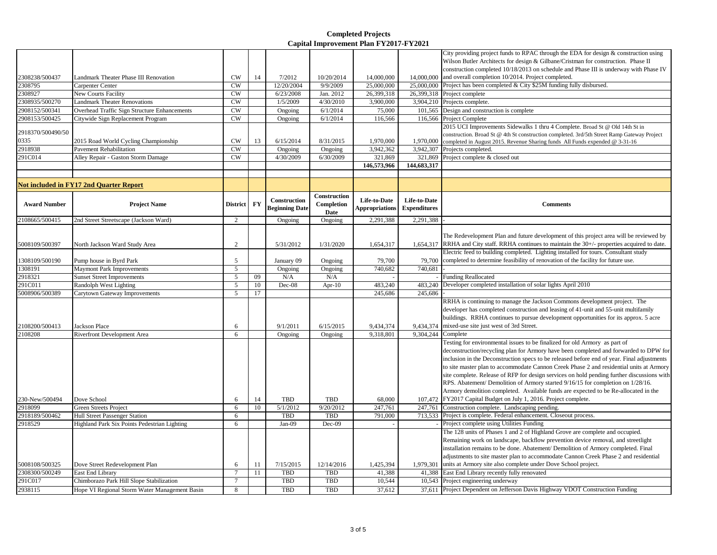|                           |                                                                               |                        |          |                        |                         |                        |                     | City providing project funds to RPAC through the EDA for design & construction using                                       |
|---------------------------|-------------------------------------------------------------------------------|------------------------|----------|------------------------|-------------------------|------------------------|---------------------|----------------------------------------------------------------------------------------------------------------------------|
|                           |                                                                               |                        |          |                        |                         |                        |                     | Wilson Butler Architects for design & Gilbane/Cristman for construction. Phase II                                          |
|                           |                                                                               |                        |          |                        |                         |                        |                     | construction completed 10/18/2013 on schedule and Phase III is underway with Phase IV                                      |
| 2308238/500437            | Landmark Theater Phase III Renovation                                         | <b>CW</b>              | 14       | 7/2012                 | 10/20/2014              | 14,000,000             |                     | 14,000,000 and overall completion 10/2014. Project completed.                                                              |
| 2308795                   | Carpenter Center                                                              | <b>CW</b>              |          | 12/20/2004             | 9/9/2009                | 25,000,000             | 25,000,000          | Project has been completed & City \$25M funding fully disbursed.                                                           |
| 2308927                   | <b>New Courts Facility</b>                                                    | <b>CW</b>              |          | 6/23/2008              | Jan. 2012               | 26,399,318             |                     | 26,399,318 Project complete                                                                                                |
| 308935/500270             | <b>Landmark Theater Renovations</b>                                           | CW                     |          | 1/5/2009               | 4/30/2010               | 3,900,000              |                     | 3,904,210 Projects complete.                                                                                               |
| 2908152/500341            | Overhead Traffic Sign Structure Enhancements                                  | <b>CW</b>              |          | Ongoing                | $\sqrt{6}/1/2014$       | 75,000                 |                     | 101,565 Design and construction is complete                                                                                |
| 2908153/500425            | Citywide Sign Replacement Program                                             | $\overline{\text{CW}}$ |          | Ongoing                | 6/1/2014                | 116,566                | 116,566             | Project Complete                                                                                                           |
|                           |                                                                               |                        |          |                        |                         |                        |                     | 2015 UCI Improvements Sidewalks 1 thru 4 Complete. Broad St @ Old 14th St in                                               |
| 2918370/500490/50<br>0335 |                                                                               |                        |          |                        |                         |                        |                     | construction. Broad St @ 4th St construction completed. 3rd/5th Street Ramp Gateway Project                                |
|                           | 2015 Road World Cycling Championship                                          | <b>CW</b><br>CW        | 13       | 6/15/2014              | 8/31/2015               | 1,970,000              | 1,970,000           | completed in August 2015. Revenue Sharing funds All Funds expended @ 3-31-16                                               |
| 2918938                   | <b>Pavement Rehabilitation</b>                                                | CW                     |          | Ongoing                | Ongoing                 | 3,942,362              | 3,942,307           | Projects completed.                                                                                                        |
| 291C014                   | Alley Repair - Gaston Storm Damage                                            |                        |          | 4/30/2009              | 6/30/2009               | 321,869<br>146,573,966 | 321,869             | Project complete & closed out                                                                                              |
|                           |                                                                               |                        |          |                        |                         |                        | 144,683,317         |                                                                                                                            |
|                           |                                                                               |                        |          |                        |                         |                        |                     |                                                                                                                            |
|                           | <b>Not included in FY17 2nd Quarter Report</b>                                |                        |          |                        |                         |                        |                     |                                                                                                                            |
|                           |                                                                               |                        |          | Construction           | Construction            | Life-to-Date           | Life-to-Date        |                                                                                                                            |
| <b>Award Number</b>       | <b>Project Name</b>                                                           | <b>District</b>        | FY       | <b>Beginning Date</b>  | Completion              | <b>Appropriations</b>  | <b>Expenditures</b> | <b>Comments</b>                                                                                                            |
|                           |                                                                               |                        |          |                        | Date                    |                        |                     |                                                                                                                            |
| 2108665/500415            | 2nd Street Streetscape (Jackson Ward)                                         | $\overline{2}$         |          | Ongoing                | Ongoing                 | 2,291,388              | 2,291,388           |                                                                                                                            |
|                           |                                                                               |                        |          |                        |                         |                        |                     |                                                                                                                            |
|                           |                                                                               |                        |          |                        |                         |                        |                     | The Redevelopment Plan and future development of this project area will be reviewed by                                     |
| 5008109/500397            | North Jackson Ward Study Area                                                 | 2                      |          | 5/31/2012              | 1/31/2020               | 1,654,317              | 1,654,317           | RRHA and City staff. RRHA continues to maintain the 30+/- properties acquired to date.                                     |
|                           |                                                                               |                        |          |                        |                         |                        |                     | Electric feed to building completed. Lighting installed for tours. Consultant study                                        |
| 1308109/500190            | Pump house in Byrd Park                                                       | 5                      |          | January 09             | Ongoing                 | 79,700                 | 79,700              | completed to determine feasibility of renovation of the facility for future use.                                           |
| 1308191                   | Maymont Park Improvements                                                     | 5                      |          | Ongoing                | Ongoing                 | 740,682                | 740.681             |                                                                                                                            |
| 2918321                   | <b>Sunset Street Improvements</b>                                             | 5                      | 09       | N/A                    | N/A                     |                        |                     | <b>Funding Reallocated</b>                                                                                                 |
| 291C011                   | Randolph West Lighting                                                        | 5                      | 10       | Dec-08                 | Apr-10                  | 483,240                | 483,240             | Developer completed installation of solar lights April 2010                                                                |
| 5008906/500389            | Carytown Gateway Improvements                                                 | 5                      | 17       |                        |                         | 245,686                | 245,686             |                                                                                                                            |
|                           |                                                                               |                        |          |                        |                         |                        |                     | RRHA is continuing to manage the Jackson Commons development project. The                                                  |
|                           |                                                                               |                        |          |                        |                         |                        |                     | developer has completed construction and leasing of 41-unit and 55-unit multifamily                                        |
|                           |                                                                               |                        |          |                        |                         |                        |                     | buildings. RRHA continues to pursue development opportunities for its approx. 5 acre                                       |
| 2108200/500413            | <b>Jackson Place</b>                                                          | 6                      |          | 9/1/2011               | 6/15/2015               | 9,434,374              | 9,434,374           | mixed-use site just west of 3rd Street.                                                                                    |
| 2108208                   | Riverfront Development Area                                                   | 6                      |          | Ongoing                | Ongoing                 | 9,318,801              | 9,304,244           | Complete                                                                                                                   |
|                           |                                                                               |                        |          |                        |                         |                        |                     | Testing for environmental issues to be finalized for old Armory as part of                                                 |
|                           |                                                                               |                        |          |                        |                         |                        |                     | deconstruction/recycling plan for Armory have been completed and forwarded to DPW for                                      |
|                           |                                                                               |                        |          |                        |                         |                        |                     | inclusion in the Deconstruction specs to be released before end of year. Final adjustments                                 |
|                           |                                                                               |                        |          |                        |                         |                        |                     | to site master plan to accommodate Cannon Creek Phase 2 and residential units at Armory                                    |
|                           |                                                                               |                        |          |                        |                         |                        |                     | site complete. Release of RFP for design services on hold pending further discussions with                                 |
|                           |                                                                               |                        |          |                        |                         |                        |                     | RPS. Abatement/ Demolition of Armory started 9/16/15 for completion on 1/28/16.                                            |
|                           |                                                                               |                        |          |                        |                         |                        |                     | Armory demolition completed. Available funds are expected to be Re-allocated in the                                        |
| 230-New/500494<br>2918099 | Dove School                                                                   | 6                      | 14<br>10 | <b>TBD</b><br>5/1/2012 | <b>TBD</b><br>9/20/2012 | 68,000<br>247,761      |                     | 107,472 FY2017 Capital Budget on July 1, 2016. Project complete.                                                           |
|                           | Green Streets Project                                                         | 6<br>6                 |          | <b>TBD</b>             | <b>TBD</b>              | 791,000                |                     | 247,761 Construction complete. Landscaping pending.<br>713,533 Project is complete. Federal enhancement. Closeout process. |
| 2918189/500462<br>2918529 | Hull Street Passenger Station<br>Highland Park Six Points Pedestrian Lighting | 6                      |          | $Jan-09$               | Dec-09                  |                        |                     | Project complete using Utilities Funding                                                                                   |
|                           |                                                                               |                        |          |                        |                         |                        |                     | The 128 units of Phases 1 and 2 of Highland Grove are complete and occupied.                                               |
|                           |                                                                               |                        |          |                        |                         |                        |                     | Remaining work on landscape, backflow prevention device removal, and streetlight                                           |
|                           |                                                                               |                        |          |                        |                         |                        |                     | installation remains to be done. Abatement/ Demolition of Armory completed. Final                                          |
|                           |                                                                               |                        |          |                        |                         |                        |                     | adjustments to site master plan to accommodate Cannon Creek Phase 2 and residential                                        |
| 5008108/500325            | Dove Street Redevelopment Plan                                                | 6                      | 11       | 7/15/2015              | 12/14/2016              | 1,425,394              | 1,979,301           | units at Armory site also complete under Dove School project.                                                              |
| 2308300/500249            | East End Library                                                              | $7\phantom{.0}$        | 11       | <b>TBD</b>             | <b>TBD</b>              | 41,388                 | 41,388              | East End Library recently fully renovated                                                                                  |
| 291C017                   | Chimborazo Park Hill Slope Stabilization                                      | $7\phantom{.0}$        |          | <b>TBD</b>             | <b>TBD</b>              | 10,544                 |                     | 10,543 Project engineering underway                                                                                        |
|                           | Hope VI Regional Storm Water Management Basin                                 | 8                      |          | <b>TBD</b>             | <b>TBD</b>              | 37,612                 |                     | 37,611 Project Dependent on Jefferson Davis Highway VDOT Construction Funding                                              |
| 2938115                   |                                                                               |                        |          |                        |                         |                        |                     |                                                                                                                            |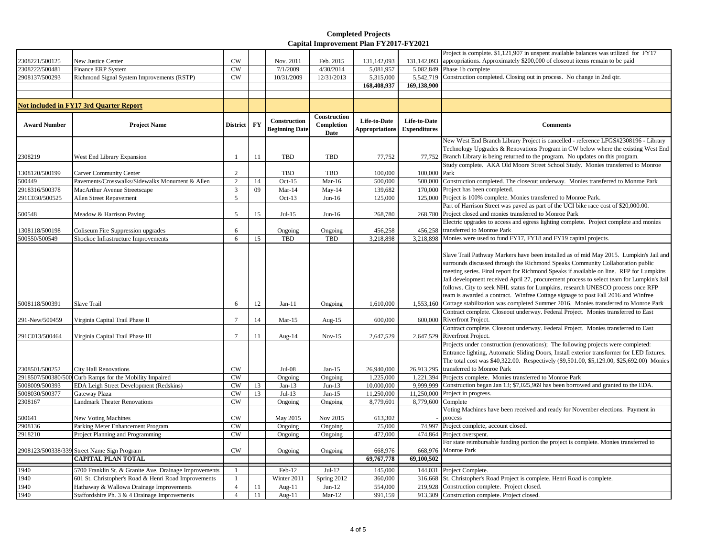|                     |                                                        |                 |    |                                       |                                    |                                       |                                            | Project is complete. \$1,121,907 in unspent available balances was utilized for FY17                                                                                                                                                                                                                                                                                                                                                                |
|---------------------|--------------------------------------------------------|-----------------|----|---------------------------------------|------------------------------------|---------------------------------------|--------------------------------------------|-----------------------------------------------------------------------------------------------------------------------------------------------------------------------------------------------------------------------------------------------------------------------------------------------------------------------------------------------------------------------------------------------------------------------------------------------------|
| 2308221/500125      | New Justice Center                                     | CW              |    | Nov. 2011                             | Feb. 2015                          | 131,142,093                           | 131,142,093                                | appropriations. Approximately \$200,000 of closeout items remain to be paid                                                                                                                                                                                                                                                                                                                                                                         |
| 2308222/500481      | <b>Finance ERP System</b>                              | CW              |    | 7/1/2009                              | 4/30/2014                          | 5,081,957                             |                                            | 5,082,849 Phase 1b complete                                                                                                                                                                                                                                                                                                                                                                                                                         |
| 2908137/500293      | Richmond Signal System Improvements (RSTP)             | CW              |    | 10/31/2009                            | 12/31/2013                         | 5,315,000                             | 5.542.719                                  | Construction completed. Closing out in process. No change in 2nd qtr.                                                                                                                                                                                                                                                                                                                                                                               |
|                     |                                                        |                 |    |                                       |                                    | 168,408,937                           | 169,138,900                                |                                                                                                                                                                                                                                                                                                                                                                                                                                                     |
|                     |                                                        |                 |    |                                       |                                    |                                       |                                            |                                                                                                                                                                                                                                                                                                                                                                                                                                                     |
|                     | <b>Not included in FY17 3rd Quarter Report</b>         |                 |    |                                       |                                    |                                       |                                            |                                                                                                                                                                                                                                                                                                                                                                                                                                                     |
| <b>Award Number</b> | <b>Project Name</b>                                    | <b>District</b> | FY | Construction<br><b>Beginning Date</b> | Construction<br>Completion<br>Date | Life-to-Date<br><b>Appropriations</b> | <b>Life-to-Date</b><br><b>Expenditures</b> | <b>Comments</b>                                                                                                                                                                                                                                                                                                                                                                                                                                     |
|                     |                                                        |                 |    |                                       |                                    |                                       |                                            | New West End Branch Library Project is cancelled - reference LFGS#2308196 - Library                                                                                                                                                                                                                                                                                                                                                                 |
|                     |                                                        |                 |    |                                       |                                    |                                       |                                            | Technology Upgrades & Renovations Program in CW below where the existing West End                                                                                                                                                                                                                                                                                                                                                                   |
| 2308219             | West End Library Expansion                             |                 | 11 | <b>TBD</b>                            | <b>TBD</b>                         | 77,752                                | 77.752                                     | Branch Library is being returned to the program. No updates on this program.                                                                                                                                                                                                                                                                                                                                                                        |
|                     |                                                        |                 |    |                                       |                                    |                                       |                                            | Study complete. AKA Old Moore Street School Study. Monies transferred to Monroe                                                                                                                                                                                                                                                                                                                                                                     |
| 1308120/500199      | <b>Carver Community Center</b>                         | 2               |    | TBD                                   | TBD                                | 100,000                               | 100,000 Park                               |                                                                                                                                                                                                                                                                                                                                                                                                                                                     |
| 500449              | Pavements/Crosswalks/Sidewalks Monument & Allen        | $\sqrt{2}$      | 14 | $Oct-15$                              | $\overline{\text{Mar-}16}$         | 500,000                               | 500,000                                    | Construction completed. The closeout underway. Monies transferred to Monroe Park                                                                                                                                                                                                                                                                                                                                                                    |
| 2918316/500378      | MacArthur Avenue Streetscape                           | 3               | 09 | $Mar-14$                              | $May-14$                           | 139,682                               |                                            | 170,000 Project has been completed.                                                                                                                                                                                                                                                                                                                                                                                                                 |
| 291C030/500525      | Allen Street Repavement                                | 5               |    | $Oct-13$                              | $Jun-16$                           | 125,000                               |                                            | 125,000 Project is 100% complete. Monies transferred to Monroe Park.                                                                                                                                                                                                                                                                                                                                                                                |
|                     |                                                        |                 |    |                                       |                                    |                                       |                                            | Part of Harrison Street was paved as part of the UCI bike race cost of \$20,000.00.                                                                                                                                                                                                                                                                                                                                                                 |
| 500548              | Meadow & Harrison Paving                               | 5               | 15 | $Jul-15$                              | $Jun-16$                           | 268,780                               |                                            | 268,780 Project closed and monies transferred to Monroe Park                                                                                                                                                                                                                                                                                                                                                                                        |
|                     |                                                        |                 |    |                                       |                                    |                                       |                                            | Electric upgrades to access and egress lighting complete. Project complete and monies                                                                                                                                                                                                                                                                                                                                                               |
| 1308118/500198      | Coliseum Fire Suppression upgrades                     | 6               |    | Ongoing                               | Ongoing                            | 456,258                               | 456,258                                    | transferred to Monroe Park                                                                                                                                                                                                                                                                                                                                                                                                                          |
| 500550/500549       | Shockoe Infrastructure Improvements                    | 6               | 15 | TBD                                   | TBD                                | 3,218,898                             | 3,218,898                                  | Monies were used to fund FY17, FY18 and FY19 capital projects.                                                                                                                                                                                                                                                                                                                                                                                      |
|                     |                                                        |                 |    |                                       |                                    |                                       |                                            | Slave Trail Pathway Markers have been installed as of mid May 2015. Lumpkin's Jail and<br>surrounds discussed through the Richmond Speaks Community Collaboration public<br>meeting series. Final report for Richmond Speaks if available on line. RFP for Lumpkins<br>Jail development received April 27, procurement process to select team for Lumpkin's Jail<br>follows. City to seek NHL status for Lumpkins, research UNESCO process once RFP |
| 5008118/500391      | Slave Trail                                            | 6               | 12 | $Jan-11$                              | Ongoing                            | 1,610,000                             | 1,553,160                                  | team is awarded a contract. Winfree Cottage signage to post Fall 2016 and Winfree<br>Cottage stabilization was completed Summer 2016. Monies transferred to Monroe Park                                                                                                                                                                                                                                                                             |
| 291-New/500459      | Virginia Capital Trail Phase II                        | $\tau$          | 14 | $Mar-15$                              | Aug- $15$                          | 600,000                               |                                            | Contract complete. Closeout underway. Federal Project. Monies transferred to East<br>600,000 Riverfront Project.                                                                                                                                                                                                                                                                                                                                    |
| 291C013/500464      | Virginia Capital Trail Phase III                       | $7\phantom{.0}$ | 11 | Aug- $14$                             | $Nov-15$                           | 2,647,529                             |                                            | Contract complete. Closeout underway. Federal Project. Monies transferred to East<br>2,647,529 Riverfront Project.                                                                                                                                                                                                                                                                                                                                  |
| 2308501/500252      | <b>City Hall Renovations</b>                           | CW              |    | $Jul-08$                              | $Jan-15$                           | 26,940,000                            | 26,913,295                                 | Projects under construction (renovations); The following projects were completed:<br>Entrance lighting, Automatic Sliding Doors, Install exterior transformer for LED fixtures.<br>The total cost was \$40,322.00. Respectively (\$9,501.00, \$5,129.00, \$25,692.00) Monies<br>transferred to Monroe Park                                                                                                                                          |
| 2918507/500380/500  | Curb Ramps for the Mobility Impaired                   | CW              |    | Ongoing                               | Ongoing                            | 1,225,000                             |                                            | 1,221,394 Projects complete. Monies transferred to Monroe Park                                                                                                                                                                                                                                                                                                                                                                                      |
| 5008009/500393      | EDA Leigh Street Development (Redskins)                | <b>CW</b>       | 13 | $Jan-13$                              | $Jun-13$                           | 10,000,000                            |                                            | 9,999,999 Construction began Jan 13; \$7,025,969 has been borrowed and granted to the EDA.                                                                                                                                                                                                                                                                                                                                                          |
| 5008030/500377      | Gateway Plaza                                          | <b>CW</b>       | 13 | $Jul-13$                              | $Jan-15$                           | 11,250,000                            |                                            | 11,250,000 Project in progress.                                                                                                                                                                                                                                                                                                                                                                                                                     |
| 2308167             | Landmark Theater Renovations                           | CW              |    | Ongoing                               | Ongoing                            | 8,779,601                             | 8,779,600 Complete                         |                                                                                                                                                                                                                                                                                                                                                                                                                                                     |
| 500641              | <b>New Voting Machines</b>                             | <b>CW</b>       |    | May 2015                              | Nov 2015                           | 613,302                               |                                            | Voting Machines have been received and ready for November elections. Payment in<br>process                                                                                                                                                                                                                                                                                                                                                          |
| 2908136             | Parking Meter Enhancement Program                      | CW              |    | Ongoing                               | Ongoing                            | 75,000                                | 74.997                                     | Project complete, account closed.                                                                                                                                                                                                                                                                                                                                                                                                                   |
| 2918210             | Project Planning and Programming                       | <b>CW</b>       |    | Ongoing                               | Ongoing                            | 472,000                               | 474,864                                    | Project overspent.                                                                                                                                                                                                                                                                                                                                                                                                                                  |
|                     | 2908123/500338/339 Street Name Sign Program            | $\mathrm{CW}$   |    | Ongoing                               | Ongoing                            | 668,976                               | 668,976                                    | For state reimbursable funding portion the project is complete. Monies transferred to<br>Monroe Park                                                                                                                                                                                                                                                                                                                                                |
|                     | <b>CAPITAL PLAN TOTAL</b>                              |                 |    |                                       |                                    | 69,767,778                            | 69,100,502                                 |                                                                                                                                                                                                                                                                                                                                                                                                                                                     |
| 1940                | 5700 Franklin St. & Granite Ave. Drainage Improvements |                 |    | Feb-12                                | $Jul-12$                           | 145,000                               |                                            | 144,031 Project Complete.                                                                                                                                                                                                                                                                                                                                                                                                                           |
| 1940                | 601 St. Christopher's Road & Henri Road Improvements   |                 |    | Winter 2011                           | Spring 2012                        | 360,000                               |                                            | 316,668 St. Christopher's Road Project is complete. Henri Road is complete.                                                                                                                                                                                                                                                                                                                                                                         |
| 1940                | Hathaway & Wallowa Drainage Improvements               | $\overline{4}$  | 11 | Aug- $11$                             | $Jan-12$                           | 554,000                               |                                            | 219.928 Construction complete. Project closed.                                                                                                                                                                                                                                                                                                                                                                                                      |
| 1940                | Staffordshire Ph. 3 & 4 Drainage Improvements          | $\overline{4}$  | 11 | Aug- $11$                             | $Mar-12$                           | 991,159                               |                                            | 913,309 Construction complete. Project closed.                                                                                                                                                                                                                                                                                                                                                                                                      |
|                     |                                                        |                 |    |                                       |                                    |                                       |                                            |                                                                                                                                                                                                                                                                                                                                                                                                                                                     |